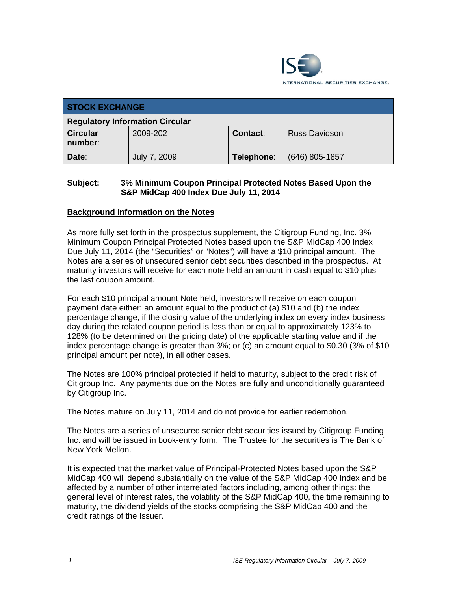

| <b>STOCK EXCHANGE</b>                  |              |            |                      |  |  |
|----------------------------------------|--------------|------------|----------------------|--|--|
| <b>Regulatory Information Circular</b> |              |            |                      |  |  |
| <b>Circular</b><br>number:             | 2009-202     | Contact:   | <b>Russ Davidson</b> |  |  |
| Date:                                  | July 7, 2009 | Telephone: | $(646)$ 805-1857     |  |  |

## **Subject: 3% Minimum Coupon Principal Protected Notes Based Upon the S&P MidCap 400 Index Due July 11, 2014**

### **Background Information on the Notes**

As more fully set forth in the prospectus supplement, the Citigroup Funding, Inc. 3% Minimum Coupon Principal Protected Notes based upon the S&P MidCap 400 Index Due July 11, 2014 (the "Securities" or "Notes") will have a \$10 principal amount. The Notes are a series of unsecured senior debt securities described in the prospectus. At maturity investors will receive for each note held an amount in cash equal to \$10 plus the last coupon amount.

For each \$10 principal amount Note held, investors will receive on each coupon payment date either: an amount equal to the product of (a) \$10 and (b) the index percentage change, if the closing value of the underlying index on every index business day during the related coupon period is less than or equal to approximately 123% to 128% (to be determined on the pricing date) of the applicable starting value and if the index percentage change is greater than 3%; or (c) an amount equal to \$0.30 (3% of \$10 principal amount per note), in all other cases.

The Notes are 100% principal protected if held to maturity, subject to the credit risk of Citigroup Inc. Any payments due on the Notes are fully and unconditionally guaranteed by Citigroup Inc.

The Notes mature on July 11, 2014 and do not provide for earlier redemption.

The Notes are a series of unsecured senior debt securities issued by Citigroup Funding Inc. and will be issued in book-entry form. The Trustee for the securities is The Bank of New York Mellon.

It is expected that the market value of Principal-Protected Notes based upon the S&P MidCap 400 will depend substantially on the value of the S&P MidCap 400 Index and be affected by a number of other interrelated factors including, among other things: the general level of interest rates, the volatility of the S&P MidCap 400, the time remaining to maturity, the dividend yields of the stocks comprising the S&P MidCap 400 and the credit ratings of the Issuer.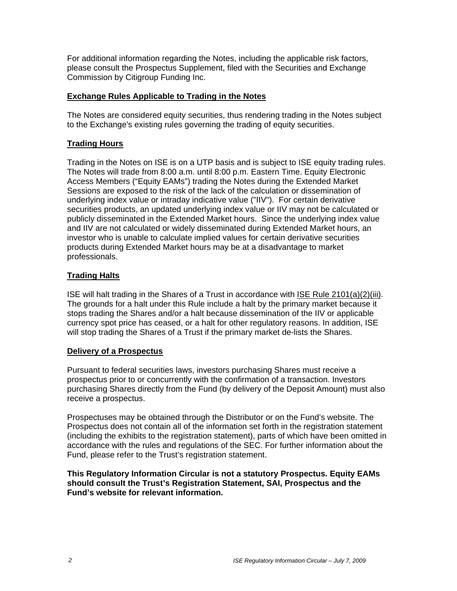For additional information regarding the Notes, including the applicable risk factors, please consult the Prospectus Supplement, filed with the Securities and Exchange Commission by Citigroup Funding Inc.

## **Exchange Rules Applicable to Trading in the Notes**

The Notes are considered equity securities, thus rendering trading in the Notes subject to the Exchange's existing rules governing the trading of equity securities.

# **Trading Hours**

Trading in the Notes on ISE is on a UTP basis and is subject to ISE equity trading rules. The Notes will trade from 8:00 a.m. until 8:00 p.m. Eastern Time. Equity Electronic Access Members ("Equity EAMs") trading the Notes during the Extended Market Sessions are exposed to the risk of the lack of the calculation or dissemination of underlying index value or intraday indicative value ("IIV"). For certain derivative securities products, an updated underlying index value or IIV may not be calculated or publicly disseminated in the Extended Market hours. Since the underlying index value and IIV are not calculated or widely disseminated during Extended Market hours, an investor who is unable to calculate implied values for certain derivative securities products during Extended Market hours may be at a disadvantage to market professionals.

# **Trading Halts**

ISE will halt trading in the Shares of a Trust in accordance with ISE Rule 2101(a)(2)(iii). The grounds for a halt under this Rule include a halt by the primary market because it stops trading the Shares and/or a halt because dissemination of the IIV or applicable currency spot price has ceased, or a halt for other regulatory reasons. In addition, ISE will stop trading the Shares of a Trust if the primary market de-lists the Shares.

### **Delivery of a Prospectus**

Pursuant to federal securities laws, investors purchasing Shares must receive a prospectus prior to or concurrently with the confirmation of a transaction. Investors purchasing Shares directly from the Fund (by delivery of the Deposit Amount) must also receive a prospectus.

Prospectuses may be obtained through the Distributor or on the Fund's website. The Prospectus does not contain all of the information set forth in the registration statement (including the exhibits to the registration statement), parts of which have been omitted in accordance with the rules and regulations of the SEC. For further information about the Fund, please refer to the Trust's registration statement.

**This Regulatory Information Circular is not a statutory Prospectus. Equity EAMs should consult the Trust's Registration Statement, SAI, Prospectus and the Fund's website for relevant information.**